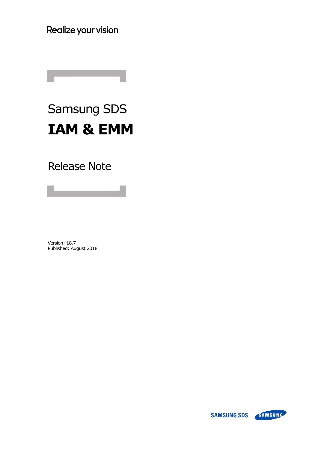Realize your vision

# Samsung SDS **IAM & EMM**

Release Note

Version: 18.7 Published: August 2018

> SAMSUNG **SAMSUNG SDS**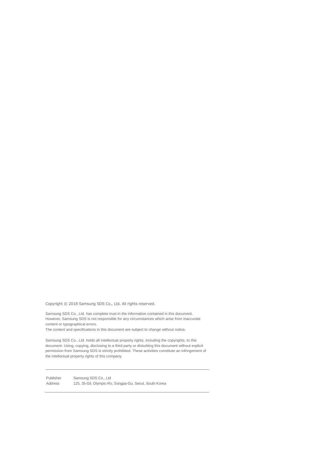Copyright © 2018 Samsung SDS Co., Ltd. All rights reserved.

Samsung SDS Co., Ltd. has complete trust in the information contained in this document. However, Samsung SDS is not responsible for any circumstances which arise from inaccurate content or typographical errors.

The content and specifications in this document are subject to change without notice.

Samsung SDS Co., Ltd. holds all intellectual property rights, including the copyrights, to this document. Using, copying, disclosing to a third party or disturbing this document without explicit permission from Samsung SDS is strictly prohibited. These activities constitute an infringement of the intellectual property rights of this company.

Publisher Address Samsung SDS Co., Ltd 125, 35-Gil, Olympic-Ro, Songpa-Gu, Seoul, South Korea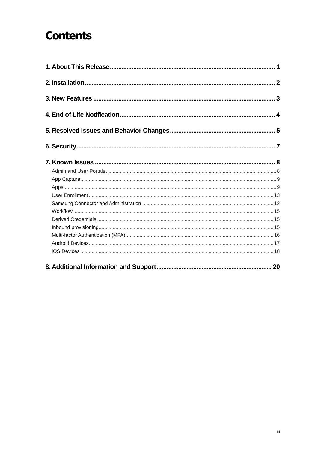### **Contents**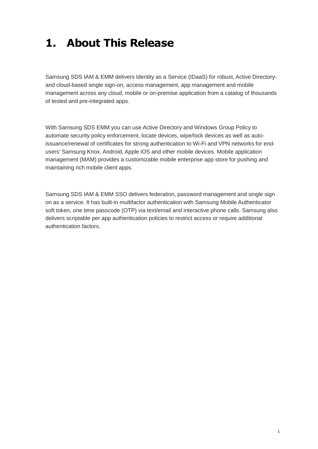### **1. About This Release**

Samsung SDS IAM & EMM delivers Identity as a Service (IDaaS) for robust, Active Directoryand cloud-based single sign-on, access management, app management and mobile management across any cloud, mobile or on-premise application from a catalog of thousands of tested and pre-integrated apps.

With Samsung SDS EMM you can use Active Directory and Windows Group Policy to automate security policy enforcement, locate devices, wipe/lock devices as well as autoissuance/renewal of certificates for strong authentication to Wi-Fi and VPN networks for endusers' Samsung Knox, Android, Apple iOS and other mobile devices. Mobile application management (MAM) provides a customizable mobile enterprise app store for pushing and maintaining rich mobile client apps.

Samsung SDS IAM & EMM SSO delivers federation, password management and single sign on as a service. It has built-in multifactor authentication with Samsung Mobile Authenticator soft token, one time passcode (OTP) via text/email and interactive phone calls. Samsung also delivers scriptable per app authentication policies to restrict access or require additional authentication factors.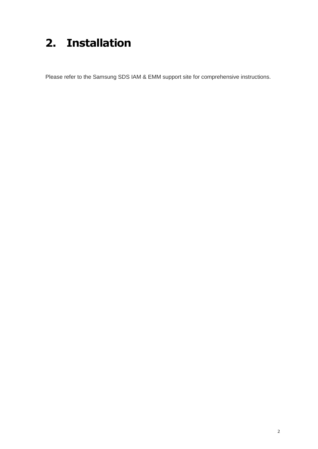### **2. Installation**

Please refer to the Samsung SDS IAM & EMM support site for comprehensive instructions.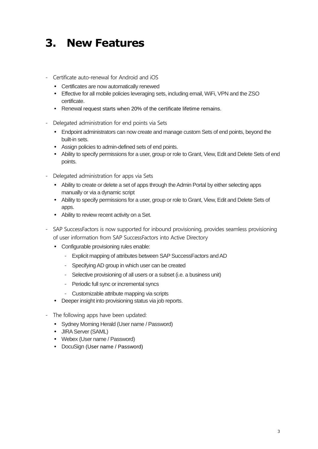### **3. New Features**

- Certificate auto-renewal for Android and iOS
	- Certificates are now automatically renewed
	- Effective for all mobile policies leveraging sets, including email, WiFi, VPN and the ZSO certificate.
	- Renewal request starts when 20% of the certificate lifetime remains.
- Delegated administration for end points via Sets
	- Endpoint administrators can now create and manage custom Sets of end points, beyond the built-in sets.
	- Assign policies to admin-defined sets of end points.
	- Ability to specify permissions for a user, group or role to Grant, View, Edit and Delete Sets of end points.
- Delegated administration for apps via Sets
	- Ability to create or delete a set of apps through the Admin Portal by either selecting apps manually or via a dynamic script
	- Ability to specify permissions for a user, group or role to Grant, View, Edit and Delete Sets of apps.
	- Ability to review recent activity on a Set.
- SAP SuccessFactors is now supported for inbound provisioning, provides seamless provisioning of user information from SAP SuccessFactors into Active Directory
	- Configurable provisioning rules enable:
		- Explicit mapping of attributes between SAP SuccessFactors and AD
		- Specifying AD group in which user can be created
		- Selective provisioning of all users or a subset (i.e. a business unit)
		- Periodic full sync or incremental syncs
		- Customizable attribute mapping via scripts
	- Deeper insight into provisioning status via job reports.
- The following apps have been updated:
	- Sydney Morning Herald (User name / Password)
	- JIRA Server (SAML)
	- Webex (User name / Password)
	- DocuSign (User name / Password)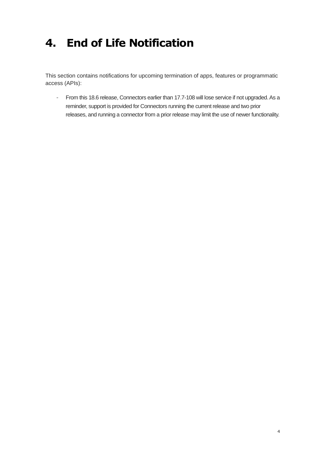### **4. End of Life Notification**

This section contains notifications for upcoming termination of apps, features or programmatic access (APIs):

- From this 18.6 release, Connectors earlier than 17.7-108 will lose service if not upgraded. As a reminder, support is provided for Connectors running the current release and two prior releases, and running a connector from a prior release may limit the use of newer functionality.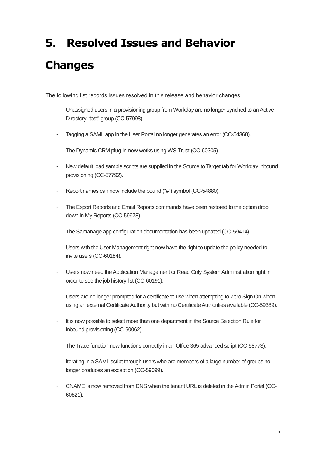### **5. Resolved Issues and Behavior**

### **Changes**

The following list records issues resolved in this release and behavior changes.

- Unassigned users in a provisioning group from Workday are no longer synched to an Active Directory "test" group (CC-57998).
- Tagging a SAML app in the User Portal no longer generates an error (CC-54368).
- The Dynamic CRM plug-in now works using WS-Trust (CC-60305).
- New default load sample scripts are supplied in the Source to Target tab for Workday inbound provisioning (CC-57792).
- Report names can now include the pound ("#") symbol (CC-54880).
- The Export Reports and Email Reports commands have been restored to the option drop down in My Reports (CC-59978).
- The Samanage app configuration documentation has been updated (CC-59414).
- Users with the User Management right now have the right to update the policy needed to invite users (CC-60184).
- Users now need the Application Management or Read Only System Administration right in order to see the job history list (CC-60191).
- Users are no longer prompted for a certificate to use when attempting to Zero Sign On when using an external Certificate Authority but with no Certificate Authorities available (CC-59389).
- It is now possible to select more than one department in the Source Selection Rule for inbound provisioning (CC-60062).
- The Trace function now functions correctly in an Office 365 advanced script (CC-58773).
- Iterating in a SAML script through users who are members of a large number of groups no longer produces an exception (CC-59099).
- CNAME is now removed from DNS when the tenant URL is deleted in the Admin Portal (CC-60821).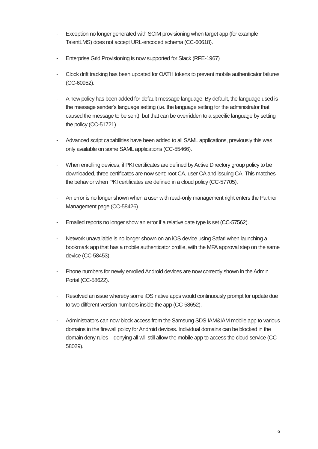- Exception no longer generated with SCIM provisioning when target app (for example TalentLMS) does not accept URL-encoded schema (CC-60618).
- Enterprise Grid Provisioning is now supported for Slack (RFE-1967)
- Clock drift tracking has been updated for OATH tokens to prevent mobile authenticator failures (CC-60952).
- A new policy has been added for default message language. By default, the language used is the message sender's language setting (i.e. the language setting for the administrator that caused the message to be sent), but that can be overridden to a specific language by setting the policy (CC-51721).
- Advanced script capabilities have been added to all SAML applications, previously this was only available on some SAML applications (CC-55466).
- When enrolling devices, if PKI certificates are defined by Active Directory group policy to be downloaded, three certificates are now sent: root CA, user CA and issuing CA. This matches the behavior when PKI certificates are defined in a cloud policy (CC-57705).
- An error is no longer shown when a user with read-only management right enters the Partner Management page (CC-58426).
- Emailed reports no longer show an error if a relative date type is set (CC-57562).
- Network unavailable is no longer shown on an iOS device using Safari when launching a bookmark app that has a mobile authenticator profile, with the MFA approval step on the same device (CC-58453).
- Phone numbers for newly enrolled Android devices are now correctly shown in the Admin Portal (CC-58622).
- Resolved an issue whereby some iOS native apps would continuously prompt for update due to two different version numbers inside the app (CC-58652).
- Administrators can now block access from the Samsung SDS IAM&IAM mobile app to various domains in the firewall policy for Android devices. Individual domains can be blocked in the domain deny rules – denying all will still allow the mobile app to access the cloud service (CC-58029).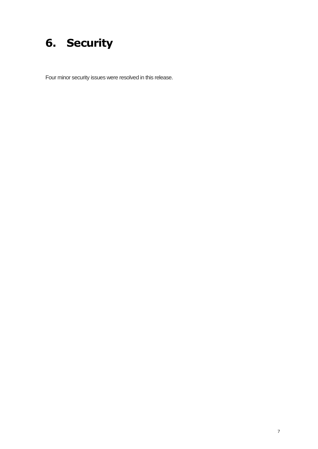### **6. Security**

Four minor security issues were resolved in this release.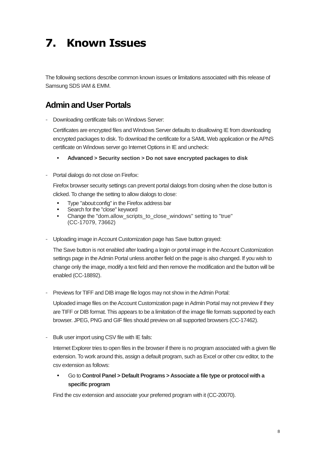### **7. Known Issues**

The following sections describe common known issues or limitations associated with this release of Samsung SDS IAM & EMM.

#### **Admin and User Portals**

- Downloading certificate fails on Windows Server:

Certificates are encrypted files and Windows Server defaults to disallowing IE from downloading encrypted packages to disk. To download the certificate for a SAML Web application or the APNS certificate on Windows server go Internet Options in IE and uncheck:

- **Advanced > Security section > Do not save encrypted packages to disk**
- Portal dialogs do not close on Firefox:

Firefox browser security settings can prevent portal dialogs from closing when the close button is clicked. To change the setting to allow dialogs to close:

- Type "about:config" in the Firefox address bar
- Search for the "close" keyword
- Change the "dom.allow\_scripts\_to\_close\_windows" setting to "true" (CC-17079, 73662)
- Uploading image in Account Customization page has Save button grayed:

The Save button is not enabled after loading a login or portal image in the Account Customization settings page in the Admin Portal unless another field on the page is also changed. If you wish to change only the image, modify a text field and then remove the modification and the button will be enabled (CC-18892).

- Previews for TIFF and DIB image file logos may not show in the Admin Portal:

Uploaded image files on the Account Customization page in Admin Portal may not preview if they are TIFF or DIB format. This appears to be a limitation of the image file formats supported by each browser. JPEG, PNG and GIF files should preview on all supported browsers (CC-17462).

Bulk user import using CSV file with IE fails:

Internet Explorer tries to open files in the browser if there is no program associated with a given file extension. To work around this, assign a default program, such as Excel or other csv editor, to the csv extension as follows:

 Go to **Control Panel > Default Programs > Associate a file type or protocol with a specific program**

Find the csv extension and associate your preferred program with it (CC-20070).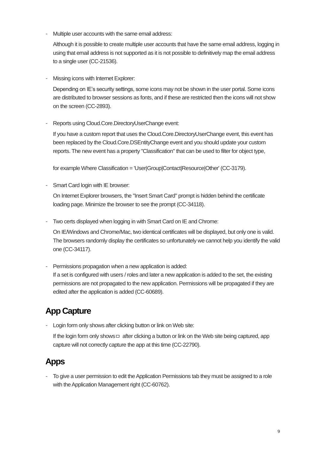Multiple user accounts with the same email address:

Although it is possible to create multiple user accounts that have the same email address, logging in using that email address is not supported as it is not possible to definitively map the email address to a single user (CC-21536).

- Missing icons with Internet Explorer:

Depending on IE's security settings, some icons may not be shown in the user portal. Some icons are distributed to browser sessions as fonts, and if these are restricted then the icons will not show on the screen (CC-2893).

#### - Reports using Cloud.Core.DirectoryUserChange event:

If you have a custom report that uses the Cloud.Core.DirectoryUserChange event, this event has been replaced by the Cloud.Core.DSEntityChange event and you should update your custom reports. The new event has a property "Classification" that can be used to filter for object type,

for example Where Classification = 'User|Group|Contact|Resource|Other' (CC-3179).

Smart Card login with IE browser:

On Internet Explorer browsers, the "Insert Smart Card" prompt is hidden behind the certificate loading page. Minimize the browser to see the prompt (CC-34118).

- Two certs displayed when logging in with Smart Card on IE and Chrome:

On IE/Windows and Chrome/Mac, two identical certificates will be displayed, but only one is valid. The browsers randomly display the certificates so unfortunately we cannot help you identify the valid one (CC-34117).

Permissions propagation when a new application is added: If a set is configured with users / roles and later a new application is added to the set, the existing permissions are not propagated to the new application. Permissions will be propagated if they are edited after the application is added (CC-60689).

### **App Capture**

- Login form only shows after clicking button or link on Web site:

If the login form only shows  $\Box$  after clicking a button or link on the Web site being captured, app capture will not correctly capture the app at this time (CC-22790).

### **Apps**

- To give a user permission to edit the Application Permissions tab they must be assigned to a role with the Application Management right (CC-60762).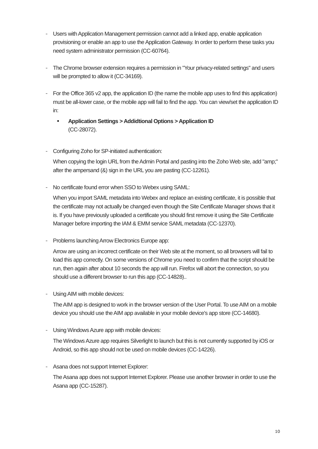- Users with Application Management permission cannot add a linked app, enable application provisioning or enable an app to use the Application Gateway. In order to perform these tasks you need system administrator permission (CC-60764).
- The Chrome browser extension requires a permission in "Your privacy-related settings" and users will be prompted to allow it (CC-34169).
- For the Office 365 v2 app, the application ID (the name the mobile app uses to find this application) must be all-lower case, or the mobile app will fail to find the app. You can view/set the application ID in:
	- **Application Settings > Addidtional Options > Application ID** (CC-28072).
- Configuring Zoho for SP-initiated authentication:

When copying the login URL from the Admin Portal and pasting into the Zoho Web site, add "amp;" after the ampersand (&) sign in the URL you are pasting (CC-12261).

- No certificate found error when SSO to Webex using SAML:

When you import SAML metadata into Webex and replace an existing certificate, it is possible that the certificate may not actually be changed even though the Site Certificate Manager shows that it is. If you have previously uploaded a certificate you should first remove it using the Site Certificate Manager before importing the IAM & EMM service SAML metadata (CC-12370).

- Problems launching Arrow Electronics Europe app:

Arrow are using an incorrect certificate on their Web site at the moment, so all browsers will fail to load this app correctly. On some versions of Chrome you need to confirm that the script should be run, then again after about 10 seconds the app will run. Firefox will abort the connection, so you should use a different browser to run this app (CC-14828)..

- Using AIM with mobile devices:

The AIM app is designed to work in the browser version of the User Portal. To use AIM on a mobile device you should use the AIM app available in your mobile device's app store (CC-14680).

- Using Windows Azure app with mobile devices:

The Windows Azure app requires Silverlight to launch but this is not currently supported by iOS or Android, so this app should not be used on mobile devices (CC-14226).

Asana does not support Internet Explorer:

The Asana app does not support Internet Explorer. Please use another browser in order to use the Asana app (CC-15287).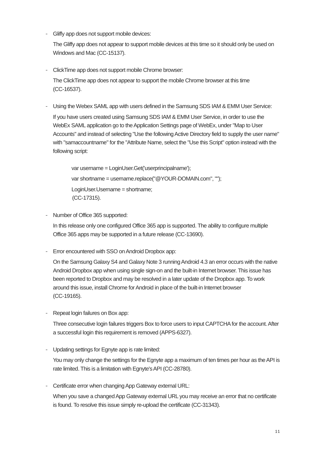- Gliffy app does not support mobile devices:

The Gliffy app does not appear to support mobile devices at this time so it should only be used on Windows and Mac (CC-15137).

- ClickTime app does not support mobile Chrome browser:

The ClickTime app does not appear to support the mobile Chrome browser at this time (CC-16537).

Using the Webex SAML app with users defined in the Samsung SDS IAM & EMM User Service: If you have users created using Samsung SDS IAM & EMM User Service, in order to use the WebEx SAML application go to the Application Settings page of WebEx, under "Map to User Accounts" and instead of selecting "Use the following Active Directory field to supply the user name" with "samaccountname" for the "Attribute Name, select the "Use this Script" option instead with the following script:

> var username = LoginUser.Get('userprincipalname'); var shortname = username.replace("@YOUR-DOMAIN.com", ""); LoginUser.Username = shortname; (CC-17315).

Number of Office 365 supported:

In this release only one configured Office 365 app is supported. The ability to configure multiple Office 365 apps may be supported in a future release (CC-13690).

- Error encountered with SSO on Android Dropbox app:

On the Samsung Galaxy S4 and Galaxy Note 3 running Android 4.3 an error occurs with the native Android Dropbox app when using single sign-on and the built-in Internet browser. This issue has been reported to Dropbox and may be resolved in a later update of the Dropbox app. To work around this issue, install Chrome for Android in place of the built-in Internet browser (CC-19165).

- Repeat login failures on Box app:

Three consecutive login failures triggers Box to force users to input CAPTCHA for the account. After a successful login this requirement is removed (APPS-6327).

Updating settings for Egnyte app is rate limited:

You may only change the settings for the Egnyte app a maximum of ten times per hour as the API is rate limited. This is a limitation with Egnyte's API (CC-28780).

- Certificate error when changing App Gateway external URL:

When you save a changed App Gateway external URL you may receive an error that no certificate is found. To resolve this issue simply re-upload the certificate (CC-31343).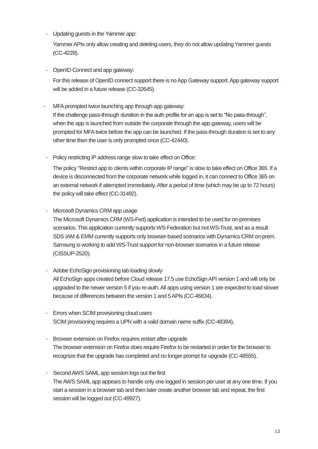- Updating guests in the Yammer app:

Yammer APIs only allow creating and deleting users, they do not allow updating Yammer guests (CC-4228).

- OpenID Connect and app gateway:

For this release of OpenID connect support there is no App Gateway support. App gateway support will be added in a future release (CC-32645).

- MFA prompted twice launching app through app gateway: If the challenge pass-through duration in the auth profile for an app is set to "No pass-through", when the app is launched from outside the corporate through the app gateway, users will be prompted for MFA twice before the app can be launched. If the pass-through duration is set to any other time then the user is only prompted once (CC-42440).
- Policy restricting IP address range slow to take effect on Office:

The policy "Restrict app to clients within corporate IP range" is slow to take effect on Office 365. If a device is disconnected from the corporate network while logged in, it can connect to Office 365 on an external network if attempted immediately. After a period of time (which may be up to 72 hours) the policy will take effect (CC-31492).

Microsoft Dynamics CRM app usage

The Microsoft Dynamics CRM (WS-Fed) application is intended to be used for on-premises scenarios. This application currently supports WS-Federation but not WS-Trust, and as a result SDS IAM & EMM currently supports only browser-based scenarios with Dynamics CRM on-prem. Samsung is working to add WS-Trust support for non-browser scenarios in a future release (CISSUP-2520).

- Adobe EchoSign provisioning tab loading slowly

All EchoSign apps created before Cloud release 17.5 use EchoSign API version 1 and will only be upgraded to the newer version 5 if you re-auth. All apps using version 1 are expected to load slower because of differences between the version 1 and 5 APIs (CC-46834).

- Errors when SCIM provisioning cloud users SCIM provisioning requires a UPN with a valid domain name suffix (CC-48394).
- Browser extension on Firefox requires restart after upgrade The browser extension on Firefox does require Firefox to be restarted in order for the browser to recognize that the upgrade has completed and no longer prompt for upgrade (CC-48555).
- Second AWS SAML app session logs out the first The AWS SAML app appears to handle only one logged in session per user at any one time. If you start a session in a browser tab and then later create another browser tab and repeat, the first session will be logged out (CC-49927).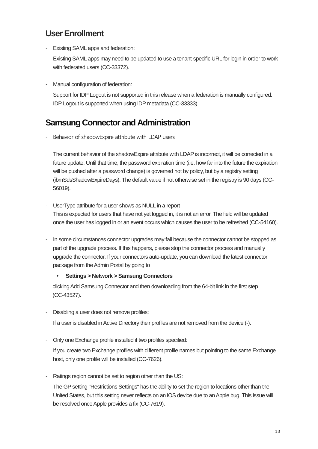#### **User Enrollment**

- Existing SAML apps and federation:

Existing SAML apps may need to be updated to use a tenant-specific URL for login in order to work with federated users (CC-33372).

Manual configuration of federation:

Support for IDP Logout is not supported in this release when a federation is manually configured. IDP Logout is supported when using IDP metadata (CC-33333).

#### **Samsung Connector and Administration**

Behavior of shadowExpire attribute with LDAP users

The current behavior of the shadowExpire attribute with LDAP is incorrect, it will be corrected in a future update. Until that time, the password expiration time (i.e. how far into the future the expiration will be pushed after a password change) is governed not by policy, but by a registry setting (ibmSdsShadowExpireDays). The default value if not otherwise set in the registry is 90 days (CC-56019).

- UserType attribute for a user shows as NULL in a report This is expected for users that have not yet logged in, it is not an error. The field will be updated once the user has logged in or an event occurs which causes the user to be refreshed (CC-54160).
- In some circumstances connector upgrades may fail because the connector cannot be stopped as part of the upgrade process. If this happens, please stop the connector process and manually upgrade the connector. If your connectors auto-update, you can download the latest connector package from the Admin Portal by going to

#### **Settings > Network > Samsung Connectors**

 clicking Add Samsung Connector and then downloading from the 64-bit link in the first step (CC-43527).

Disabling a user does not remove profiles:

If a user is disabled in Active Directory their profiles are not removed from the device (-).

- Only one Exchange profile installed if two profiles specified:

If you create two Exchange profiles with different profile names but pointing to the same Exchange host, only one profile will be installed (CC-7626).

- Ratings region cannot be set to region other than the US:

The GP setting "Restrictions Settings" has the ability to set the region to locations other than the United States, but this setting never reflects on an iOS device due to an Apple bug. This issue will be resolved once Apple provides a fix (CC-7619).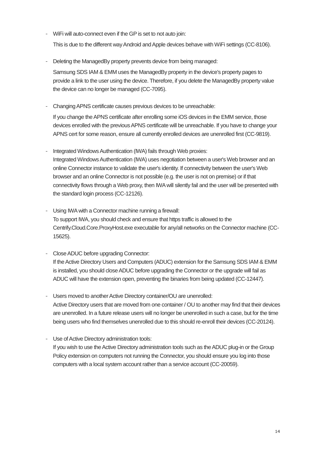- WiFi will auto-connect even if the GP is set to not auto join: This is due to the different way Android and Apple devices behave with WiFi settings (CC-8106).
- Deleting the ManagedBy property prevents device from being managed:

Samsung SDS IAM & EMM uses the ManagedBy property in the device's property pages to provide a link to the user using the device. Therefore, if you delete the ManagedBy property value the device can no longer be managed (CC-7095).

- Changing APNS certificate causes previous devices to be unreachable:

If you change the APNS certificate after enrolling some iOS devices in the EMM service, those devices enrolled with the previous APNS certificate will be unreachable. If you have to change your APNS cert for some reason, ensure all currently enrolled devices are unenrolled first (CC-9819).

- Integrated Windows Authentication (IWA) fails through Web proxies: Integrated Windows Authentication (IWA) uses negotiation between a user's Web browser and an online Connector instance to validate the user's identity. If connectivity between the user's Web browser and an online Connector is not possible (e.g. the user is not on premise) or if that connectivity flows through a Web proxy, then IWA will silently fail and the user will be presented with the standard login process (CC-12126).
- Using IWA with a Connector machine running a firewall: To support IWA, you should check and ensure that https traffic is allowed to the Centrify.Cloud.Core.ProxyHost.exe executable for any/all networks on the Connector machine (CC-15625).
- Close ADUC before upgrading Connector: If the Active Directory Users and Computers (ADUC) extension for the Samsung SDS IAM & EMM is installed, you should close ADUC before upgrading the Connector or the upgrade will fail as ADUC will have the extension open, preventing the binaries from being updated (CC-12447).
- Users moved to another Active Directory container/OU are unenrolled: Active Directory users that are moved from one container / OU to another may find that their devices are unenrolled. In a future release users will no longer be unenrolled in such a case, but for the time being users who find themselves unenrolled due to this should re-enroll their devices (CC-20124).
- Use of Active Directory administration tools: If you wish to use the Active Directory administration tools such as the ADUC plug-in or the Group Policy extension on computers not running the Connector, you should ensure you log into those computers with a local system account rather than a service account (CC-20059).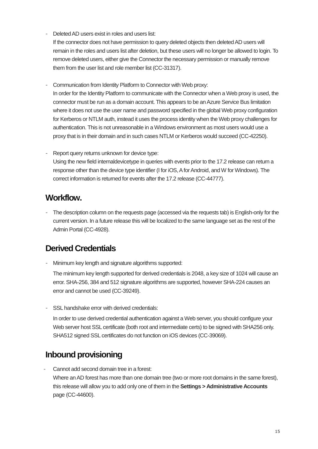Deleted AD users exist in roles and users list:

If the connector does not have permission to query deleted objects then deleted AD users will remain in the roles and users list after deletion, but these users will no longer be allowed to login. To remove deleted users, either give the Connector the necessary permission or manually remove them from the user list and role member list (CC-31317).

- Communication from Identity Platform to Connector with Web proxy:

In order for the Identity Platform to communicate with the Connector when a Web proxy is used, the connector must be run as a domain account. This appears to be an Azure Service Bus limitation where it does not use the user name and password specified in the global Web proxy configuration for Kerberos or NTLM auth, instead it uses the process identity when the Web proxy challenges for authentication. This is not unreasonable in a Windows environment as most users would use a proxy that is in their domain and in such cases NTLM or Kerberos would succeed (CC-42250).

- Report query returns unknown for device type: Using the new field internaldevicetype in queries with events prior to the 17.2 release can return a response other than the device type identifier (I for iOS, A for Android, and W for Windows). The correct information is returned for events after the 17.2 release (CC-44777).

#### **Workflow.**

The description column on the requests page (accessed via the requests tab) is English-only for the current version. In a future release this will be localized to the same language set as the rest of the Admin Portal (CC-4928).

#### **Derived Credentials**

Minimum key length and signature algorithms supported:

The minimum key length supported for derived credentials is 2048, a key size of 1024 will cause an error. SHA-256, 384 and 512 signature algorithms are supported, however SHA-224 causes an error and cannot be used (CC-39249).

- SSL handshake error with derived credentials:

In order to use derived credential authentication against a Web server, you should configure your Web server host SSL certificate (both root and intermediate certs) to be signed with SHA256 only. SHA512 signed SSL certificates do not function on iOS devices (CC-39069).

### **Inbound provisioning**

Cannot add second domain tree in a forest:

Where an AD forest has more than one domain tree (two or more root domains in the same forest), this release will allow you to add only one of them in the **Settings > Administrative Accounts** page (CC-44600).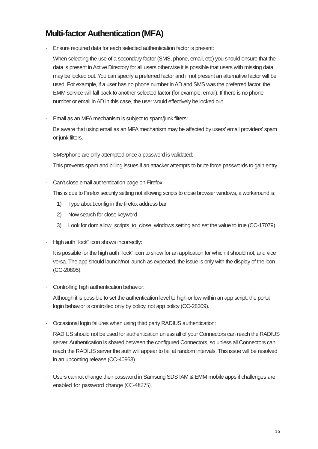#### **Multi-factor Authentication (MFA)**

- Ensure required data for each selected authentication factor is present:

When selecting the use of a secondary factor (SMS, phone, email, etc) you should ensure that the data is present in Active Directory for all users otherwise it is possible that users with missing data may be locked out. You can specify a preferred factor and if not present an alternative factor will be used. For example, if a user has no phone number in AD and SMS was the preferred factor, the EMM service will fall back to another selected factor (for example, email). If there is no phone number or email in AD in this case, the user would effectively be locked out.

- Email as an MFA mechanism is subject to spam/junk filters:

Be aware that using email as an MFA mechanism may be affected by users' email providers' spam or junk filters.

- SMS/phone are only attempted once a password is validated:

This prevents spam and billing issues if an attacker attempts to brute force passwords to gain entry.

Can't close email authentication page on Firefox:

This is due to Firefox security setting not allowing scripts to close browser windows, a workaround is:

- 1) Type about:config in the firefox address bar
- 2) Now search for close keyword
- 3) Look for dom.allow scripts to close\_windows setting and set the value to true (CC-17079).
- High auth "lock" icon shows incorrectly:

It is possible for the high auth "lock" icon to show for an application for which it should not, and vice versa. The app should launch/not launch as expected, the issue is only with the display of the icon (CC-20895).

- Controlling high authentication behavior:

Although it is possible to set the authentication level to high or low within an app script, the portal login behavior is controlled only by policy, not app policy (CC-28309).

- Occasional login failures when using third party RADIUS authentication:

RADIUS should not be used for authentication unless all of your Connectors can reach the RADIUS server. Authentication is shared between the configured Connectors, so unless all Connectors can reach the RADIUS server the auth will appear to fail at random intervals. This issue will be resolved in an upcoming release (CC-40963).

Users cannot change their password in Samsung SDS IAM & EMM mobile apps if challenges are enabled for password change (CC-48275).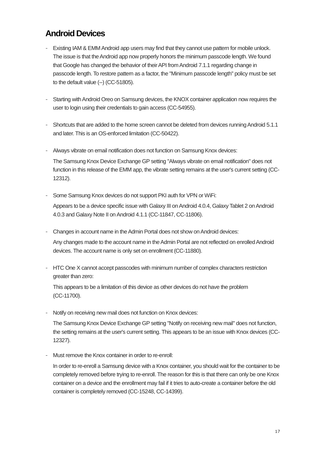#### **Android Devices**

- Existing IAM & EMM Android app users may find that they cannot use pattern for mobile unlock. The issue is that the Android app now properly honors the minimum passcode length. We found that Google has changed the behavior of their API from Android 7.1.1 regarding change in passcode length. To restore pattern as a factor, the "Minimum passcode length" policy must be set to the default value (--) (CC-51805).
- Starting with Android Oreo on Samsung devices, the KNOX container application now requires the user to login using their credentials to gain access (CC-54955).
- Shortcuts that are added to the home screen cannot be deleted from devices running Android 5.1.1 and later. This is an OS-enforced limitation (CC-50422).
- Always vibrate on email notification does not function on Samsung Knox devices:

The Samsung Knox Device Exchange GP setting "Always vibrate on email notification" does not function in this release of the EMM app, the vibrate setting remains at the user's current setting (CC-12312).

- Some Samsung Knox devices do not support PKI auth for VPN or WiFi:

Appears to be a device specific issue with Galaxy III on Android 4.0.4, Galaxy Tablet 2 on Android 4.0.3 and Galaxy Note II on Android 4.1.1 (CC-11847, CC-11806).

- Changes in account name in the Admin Portal does not show on Android devices:

Any changes made to the account name in the Admin Portal are not reflected on enrolled Android devices. The account name is only set on enrollment (CC-11880).

- HTC One X cannot accept passcodes with minimum number of complex characters restriction greater than zero:

This appears to be a limitation of this device as other devices do not have the problem (CC-11700).

- Notify on receiving new mail does not function on Knox devices:

The Samsung Knox Device Exchange GP setting "Notify on receiving new mail" does not function, the setting remains at the user's current setting. This appears to be an issue with Knox devices (CC-12327).

Must remove the Knox container in order to re-enroll:

In order to re-enroll a Samsung device with a Knox container, you should wait for the container to be completely removed before trying to re-enroll. The reason for this is that there can only be one Knox container on a device and the enrollment may fail if it tries to auto-create a container before the old container is completely removed (CC-15248, CC-14399).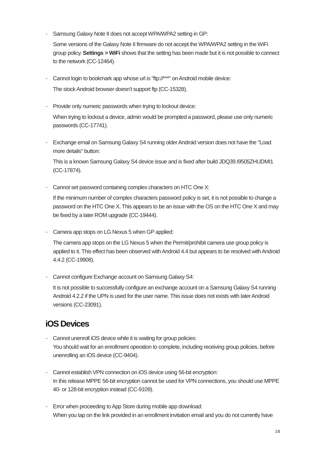- Samsung Galaxy Note II does not accept WPA/WPA2 setting in GP:

Some versions of the Galaxy Note II firmware do not accept the WPA/WPA2 setting in the WiFi group policy. **Settings > WiFi** shows that the setting has been made but it is not possible to connect to the network (CC-12464).

- Cannot login to bookmark app whose url is "ftp://\*\*\*" on Android mobile device: The stock Android browser doesn't support ftp (CC-15328).
- Provide only numeric passwords when trying to lockout device: When trying to lockout a device, admin would be prompted a password, please use only numeric passwords (CC-17741).
- Exchange email on Samsung Galaxy S4 running older Android version does not have the "Load more details" button:

This is a known Samsung Galaxy S4 device issue and is fixed after build JDQ39.I9505ZHUDMI1 (CC-17874).

Cannot set password containing complex characters on HTC One X:

If the minimum number of complex characters password policy is set, it is not possible to change a password on the HTC One X. This appears to be an issue with the OS on the HTC One X and may be fixed by a later ROM upgrade (CC-19444).

Camera app stops on LG Nexus 5 when GP applied:

The camera app stops on the LG Nexus 5 when the Permit/prohibit camera use group policy is applied to it. This effect has been observed with Android 4.4 but appears to be resolved with Android 4.4.2 (CC-19908).

- Cannot configure Exchange account on Samsung Galaxy S4:

It is not possible to successfully configure an exchange account on a Samsung Galaxy S4 running Android 4.2.2 if the UPN is used for the user name. This issue does not exists with later Android versions (CC-23091).

#### **iOS Devices**

- Cannot unenroll iOS device while it is waiting for group policies: You should wait for an enrollment operation to complete, including receiving group policies, before unenrolling an iOS device (CC-9404).
- Cannot establish VPN connection on iOS device using 56-bit encryption: In this release MPPE 56-bit encryption cannot be used for VPN connections, you should use MPPE 40- or 128-bit encryption instead (CC-9109).
- Error when proceeding to App Store during mobile app download: When you tap on the link provided in an enrollment invitation email and you do not currently have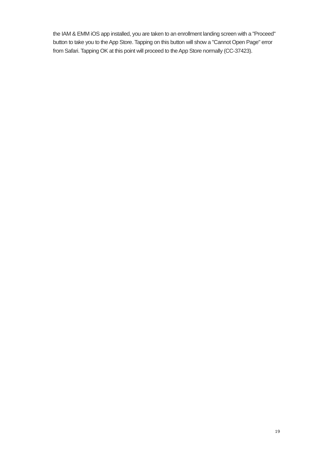the IAM & EMM iOS app installed, you are taken to an enrollment landing screen with a "Proceed" button to take you to the App Store. Tapping on this button will show a "Cannot Open Page" error from Safari. Tapping OK at this point will proceed to the App Store normally (CC-37423).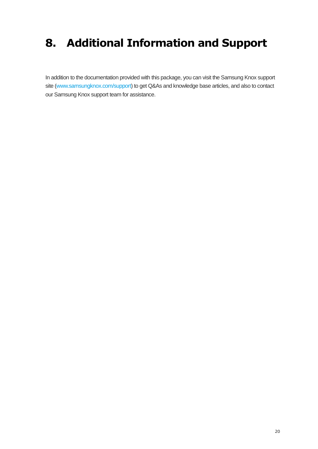## **8. Additional Information and Support**

In addition to the documentation provided with this package, you can visit the Samsung Knox support site [\(www.samsungknox.com/support\)](https://www.samsungknox.com/support) to get Q&As and knowledge base articles, and also to contact our Samsung Knox support team for assistance.